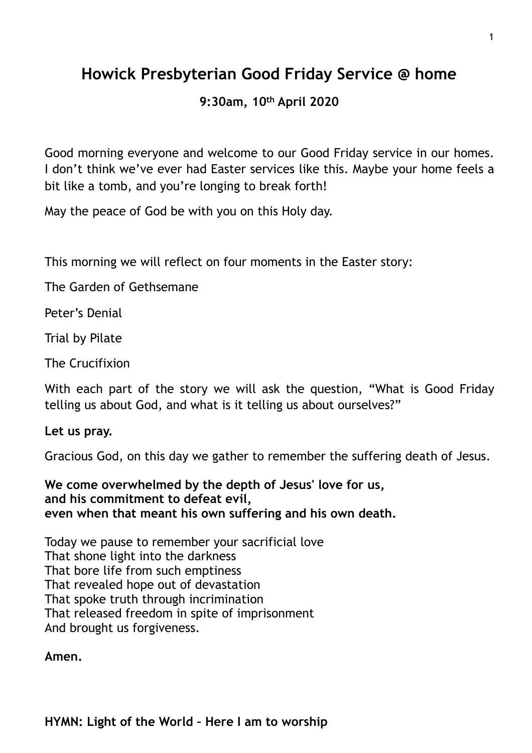# **Howick Presbyterian Good Friday Service @ home**

## **9:30am, 10th April 2020**

Good morning everyone and welcome to our Good Friday service in our homes. I don't think we've ever had Easter services like this. Maybe your home feels a bit like a tomb, and you're longing to break forth!

May the peace of God be with you on this Holy day.

This morning we will reflect on four moments in the Easter story:

The Garden of Gethsemane

Peter's Denial

Trial by Pilate

The Crucifixion

With each part of the story we will ask the question, "What is Good Friday telling us about God, and what is it telling us about ourselves?"

#### **Let us pray.**

Gracious God, on this day we gather to remember the suffering death of Jesus.

**We come overwhelmed by the depth of Jesus' love for us, and his commitment to defeat evil, even when that meant his own suffering and his own death.**

Today we pause to remember your sacrificial love That shone light into the darkness That bore life from such emptiness That revealed hope out of devastation That spoke truth through incrimination That released freedom in spite of imprisonment And brought us forgiveness.

#### **Amen.**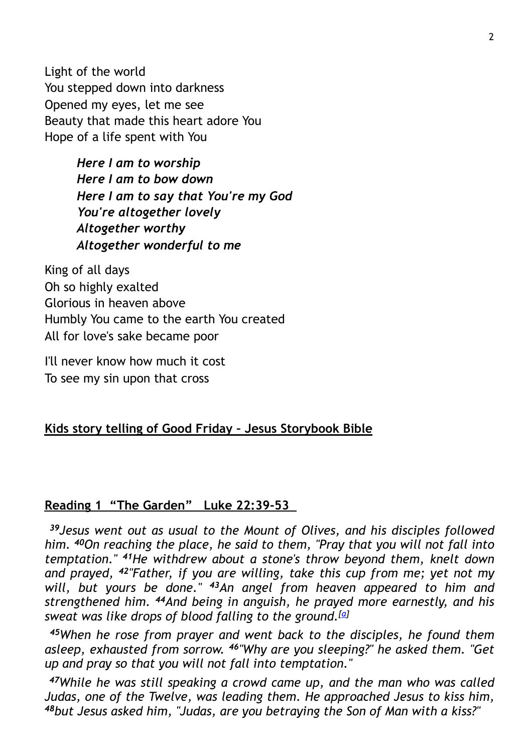Light of the world You stepped down into darkness Opened my eyes, let me see Beauty that made this heart adore You Hope of a life spent with You

> *Here I am to worship Here I am to bow down Here I am to say that You're my God You're altogether lovely Altogether worthy Altogether wonderful to me*

King of all days Oh so highly exalted Glorious in heaven above Humbly You came to the earth You created All for love's sake became poor

I'll never know how much it cost To see my sin upon that cross

### **Kids story telling of Good Friday – Jesus Storybook Bible**

#### **Reading 1 "The Garden" Luke 22:39-53**

*<sup>39</sup>Jesus went out as usual to the Mount of Olives, and his disciples followed him. <sup>40</sup>On reaching the place, he said to them, "Pray that you will not fall into temptation." <sup>41</sup>He withdrew about a stone's throw beyond them, knelt down and prayed, <sup>42</sup>"Father, if you are willing, take this cup from me; yet not my will, but yours be done." <sup>43</sup>An angel from heaven appeared to him and strengthened him. <sup>44</sup>And being in anguish, he prayed more earnestly, and his sweat was like drops of blood falling to the ground.[\[a](http://www.biblegateway.com/passage/?search=Luke+22%253A39-53&version=NIV#fen-NIV-25900a)]*

*<sup>45</sup>When he rose from prayer and went back to the disciples, he found them asleep, exhausted from sorrow. <sup>46</sup>"Why are you sleeping?" he asked them. "Get up and pray so that you will not fall into temptation."* 

*<sup>47</sup>While he was still speaking a crowd came up, and the man who was called Judas, one of the Twelve, was leading them. He approached Jesus to kiss him, 48but Jesus asked him, "Judas, are you betraying the Son of Man with a kiss?"*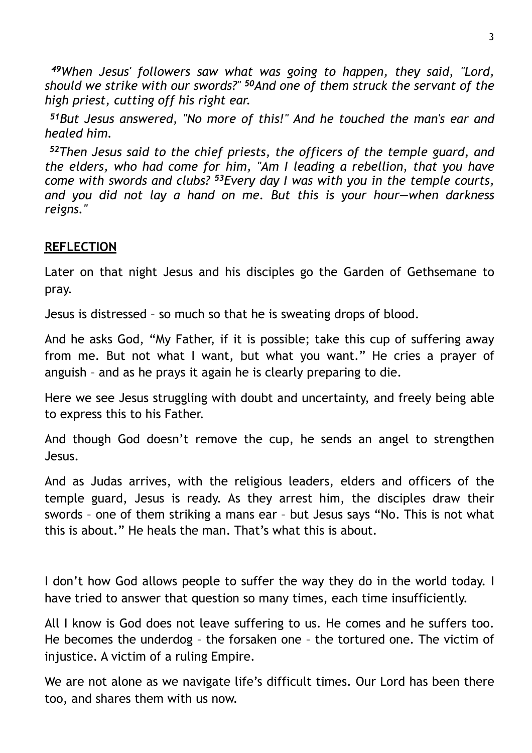*<sup>49</sup>When Jesus' followers saw what was going to happen, they said, "Lord, should we strike with our swords?" <sup>50</sup>And one of them struck the servant of the high priest, cutting off his right ear.* 

*<sup>51</sup>But Jesus answered, "No more of this!" And he touched the man's ear and healed him.* 

*<sup>52</sup>Then Jesus said to the chief priests, the officers of the temple guard, and the elders, who had come for him, "Am I leading a rebellion, that you have come with swords and clubs? <sup>53</sup>Every day I was with you in the temple courts, and you did not lay a hand on me. But this is your hour—when darkness reigns."*

### **REFLECTION**

Later on that night Jesus and his disciples go the Garden of Gethsemane to pray.

Jesus is distressed – so much so that he is sweating drops of blood.

And he asks God, "My Father, if it is possible; take this cup of suffering away from me. But not what I want, but what you want." He cries a prayer of anguish – and as he prays it again he is clearly preparing to die.

Here we see Jesus struggling with doubt and uncertainty, and freely being able to express this to his Father.

And though God doesn't remove the cup, he sends an angel to strengthen Jesus.

And as Judas arrives, with the religious leaders, elders and officers of the temple guard, Jesus is ready. As they arrest him, the disciples draw their swords – one of them striking a mans ear – but Jesus says "No. This is not what this is about." He heals the man. That's what this is about.

I don't how God allows people to suffer the way they do in the world today. I have tried to answer that question so many times, each time insufficiently.

All I know is God does not leave suffering to us. He comes and he suffers too. He becomes the underdog – the forsaken one – the tortured one. The victim of injustice. A victim of a ruling Empire.

We are not alone as we navigate life's difficult times. Our Lord has been there too, and shares them with us now.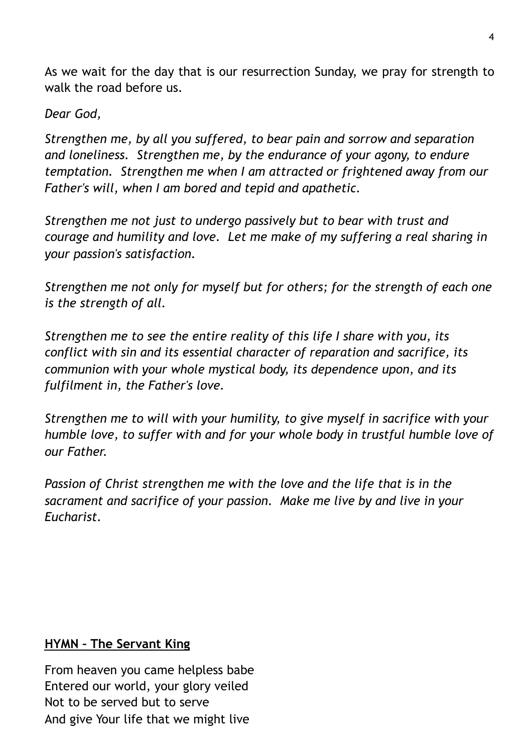As we wait for the day that is our resurrection Sunday, we pray for strength to walk the road before us.

*Dear God,* 

*Strengthen me, by all you suffered, to bear pain and sorrow and separation and loneliness. Strengthen me, by the endurance of your agony, to endure temptation. Strengthen me when I am attracted or frightened away from our Father's will, when I am bored and tepid and apathetic.*

*Strengthen me not just to undergo passively but to bear with trust and courage and humility and love. Let me make of my suffering a real sharing in your passion's satisfaction.*

*Strengthen me not only for myself but for others; for the strength of each one is the strength of all.*

*Strengthen me to see the entire reality of this life I share with you, its conflict with sin and its essential character of reparation and sacrifice, its communion with your whole mystical body, its dependence upon, and its fulfilment in, the Father's love.*

*Strengthen me to will with your humility, to give myself in sacrifice with your humble love, to suffer with and for your whole body in trustful humble love of our Father.*

*Passion of Christ strengthen me with the love and the life that is in the sacrament and sacrifice of your passion. Make me live by and live in your Eucharist.*

### **HYMN – The Servant King**

From heaven you came helpless babe Entered our world, your glory veiled Not to be served but to serve And give Your life that we might live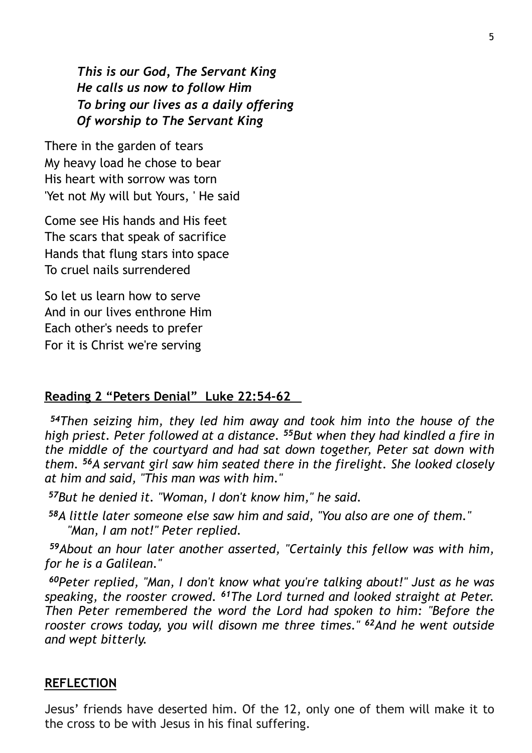*This is our God, The Servant King He calls us now to follow Him To bring our lives as a daily offering Of worship to The Servant King*

There in the garden of tears My heavy load he chose to bear His heart with sorrow was torn 'Yet not My will but Yours, ' He said

Come see His hands and His feet The scars that speak of sacrifice Hands that flung stars into space To cruel nails surrendered

So let us learn how to serve And in our lives enthrone Him Each other's needs to prefer For it is Christ we're serving

#### **Reading 2 "Peters Denial" Luke 22:54-62**

*<sup>54</sup>Then seizing him, they led him away and took him into the house of the high priest. Peter followed at a distance. <sup>55</sup>But when they had kindled a fire in the middle of the courtyard and had sat down together, Peter sat down with them. <sup>56</sup>A servant girl saw him seated there in the firelight. She looked closely at him and said, "This man was with him."* 

*<sup>57</sup>But he denied it. "Woman, I don't know him," he said.* 

*<sup>58</sup>A little later someone else saw him and said, "You also are one of them." "Man, I am not!" Peter replied.* 

*<sup>59</sup>About an hour later another asserted, "Certainly this fellow was with him, for he is a Galilean."* 

*<sup>60</sup>Peter replied, "Man, I don't know what you're talking about!" Just as he was speaking, the rooster crowed. <sup>61</sup>The Lord turned and looked straight at Peter. Then Peter remembered the word the Lord had spoken to him: "Before the rooster crows today, you will disown me three times." <sup>62</sup>And he went outside and wept bitterly.*

#### **REFLECTION**

Jesus' friends have deserted him. Of the 12, only one of them will make it to the cross to be with Jesus in his final suffering.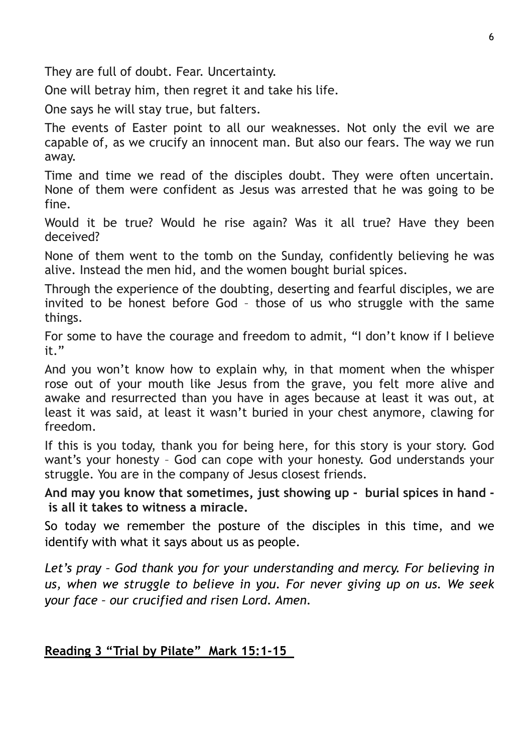They are full of doubt. Fear. Uncertainty.

One will betray him, then regret it and take his life.

One says he will stay true, but falters.

The events of Easter point to all our weaknesses. Not only the evil we are capable of, as we crucify an innocent man. But also our fears. The way we run away.

Time and time we read of the disciples doubt. They were often uncertain. None of them were confident as Jesus was arrested that he was going to be fine.

Would it be true? Would he rise again? Was it all true? Have they been deceived?

None of them went to the tomb on the Sunday, confidently believing he was alive. Instead the men hid, and the women bought burial spices.

Through the experience of the doubting, deserting and fearful disciples, we are invited to be honest before God – those of us who struggle with the same things.

For some to have the courage and freedom to admit, "I don't know if I believe it."

And you won't know how to explain why, in that moment when the whisper rose out of your mouth like Jesus from the grave, you felt more alive and awake and resurrected than you have in ages because at least it was out, at least it was said, at least it wasn't buried in your chest anymore, clawing for freedom.

If this is you today, thank you for being here, for this story is your story. God want's your honesty – God can cope with your honesty. God understands your struggle. You are in the company of Jesus closest friends.

**And may you know that sometimes, just showing up - burial spices in hand is all it takes to witness a miracle.**

So today we remember the posture of the disciples in this time, and we identify with what it says about us as people.

*Let's pray – God thank you for your understanding and mercy. For believing in us, when we struggle to believe in you. For never giving up on us. We seek your face – our crucified and risen Lord. Amen.*

# **Reading 3 "Trial by Pilate" Mark 15:1-15**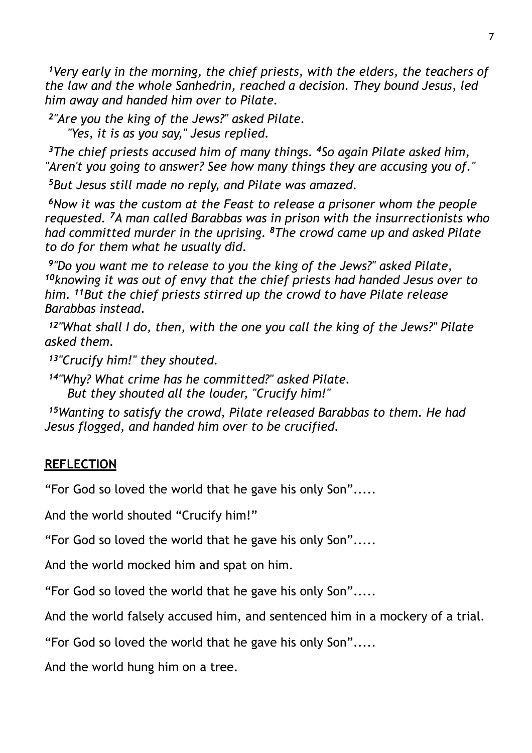*<sup>1</sup>Very early in the morning, the chief priests, with the elders, the teachers of the law and the whole Sanhedrin, reached a decision. They bound Jesus, led him away and handed him over to Pilate.* 

*<sup>2</sup>"Are you the king of the Jews?" asked Pilate.* 

 *"Yes, it is as you say," Jesus replied.* 

*<sup>3</sup>The chief priests accused him of many things. <sup>4</sup>So again Pilate asked him, "Aren't you going to answer? See how many things they are accusing you of."* 

*<sup>5</sup>But Jesus still made no reply, and Pilate was amazed.* 

*<sup>6</sup>Now it was the custom at the Feast to release a prisoner whom the people requested. <sup>7</sup>A man called Barabbas was in prison with the insurrectionists who had committed murder in the uprising. <sup>8</sup>The crowd came up and asked Pilate to do for them what he usually did.* 

*<sup>9</sup>"Do you want me to release to you the king of the Jews?" asked Pilate, <sup>10</sup>knowing it was out of envy that the chief priests had handed Jesus over to him. <sup>11</sup>But the chief priests stirred up the crowd to have Pilate release Barabbas instead.* 

*<sup>12</sup>"What shall I do, then, with the one you call the king of the Jews?" Pilate asked them.* 

*<sup>13</sup>"Crucify him!" they shouted.* 

*<sup>14</sup>"Why? What crime has he committed?" asked Pilate. But they shouted all the louder, "Crucify him!"* 

*<sup>15</sup>Wanting to satisfy the crowd, Pilate released Barabbas to them. He had Jesus flogged, and handed him over to be crucified.* 

# **REFLECTION**

"For God so loved the world that he gave his only Son".....

And the world shouted "Crucify him!"

"For God so loved the world that he gave his only Son".....

And the world mocked him and spat on him.

"For God so loved the world that he gave his only Son".....

And the world falsely accused him, and sentenced him in a mockery of a trial.

"For God so loved the world that he gave his only Son".....

And the world hung him on a tree.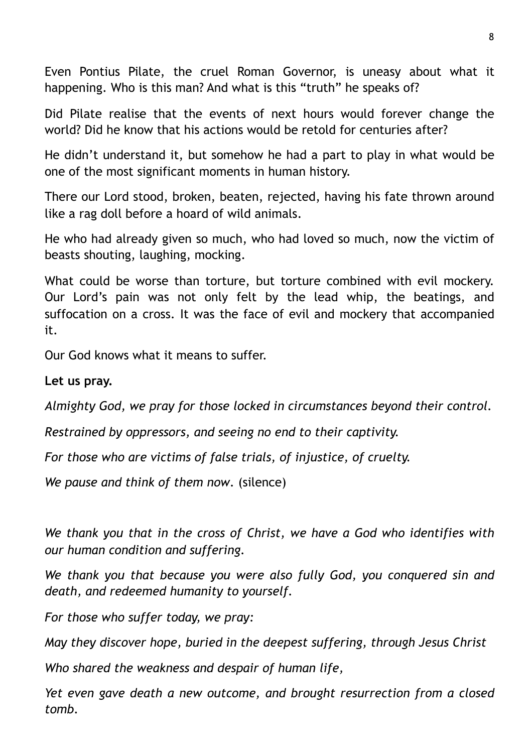Even Pontius Pilate, the cruel Roman Governor, is uneasy about what it happening. Who is this man? And what is this "truth" he speaks of?

Did Pilate realise that the events of next hours would forever change the world? Did he know that his actions would be retold for centuries after?

He didn't understand it, but somehow he had a part to play in what would be one of the most significant moments in human history.

There our Lord stood, broken, beaten, rejected, having his fate thrown around like a rag doll before a hoard of wild animals.

He who had already given so much, who had loved so much, now the victim of beasts shouting, laughing, mocking.

What could be worse than torture, but torture combined with evil mockery. Our Lord's pain was not only felt by the lead whip, the beatings, and suffocation on a cross. It was the face of evil and mockery that accompanied it.

Our God knows what it means to suffer.

#### **Let us pray.**

*Almighty God, we pray for those locked in circumstances beyond their control.* 

*Restrained by oppressors, and seeing no end to their captivity.* 

*For those who are victims of false trials, of injustice, of cruelty.* 

*We pause and think of them now*. (silence)

*We thank you that in the cross of Christ, we have a God who identifies with our human condition and suffering.* 

*We thank you that because you were also fully God, you conquered sin and death, and redeemed humanity to yourself.* 

*For those who suffer today, we pray:* 

*May they discover hope, buried in the deepest suffering, through Jesus Christ* 

*Who shared the weakness and despair of human life,* 

*Yet even gave death a new outcome, and brought resurrection from a closed tomb.*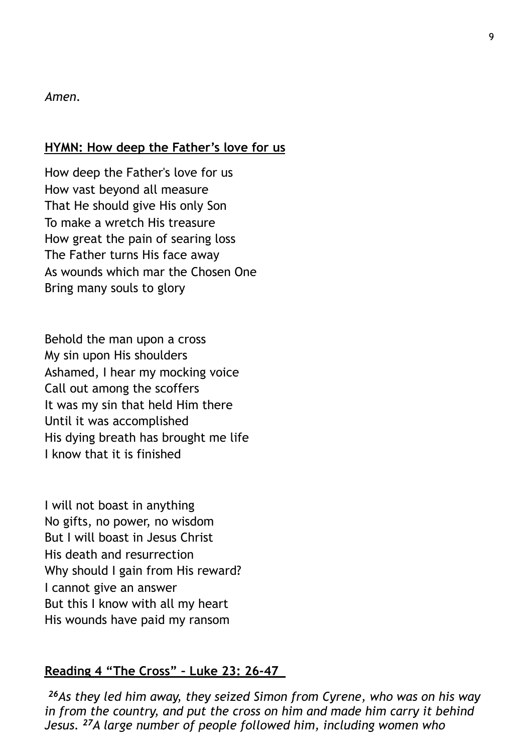#### *Amen.*

#### **HYMN: How deep the Father's love for us**

How deep the Father's love for us How vast beyond all measure That He should give His only Son To make a wretch His treasure How great the pain of searing loss The Father turns His face away As wounds which mar the Chosen One Bring many souls to glory

Behold the man upon a cross My sin upon His shoulders Ashamed, I hear my mocking voice Call out among the scoffers It was my sin that held Him there Until it was accomplished His dying breath has brought me life I know that it is finished

I will not boast in anything No gifts, no power, no wisdom But I will boast in Jesus Christ His death and resurrection Why should I gain from His reward? I cannot give an answer But this I know with all my heart His wounds have paid my ransom

#### **Reading 4 "The Cross" – Luke 23: 26-47**

*<sup>26</sup>As they led him away, they seized Simon from Cyrene, who was on his way in from the country, and put the cross on him and made him carry it behind Jesus. 27A large number of people followed him, including women who*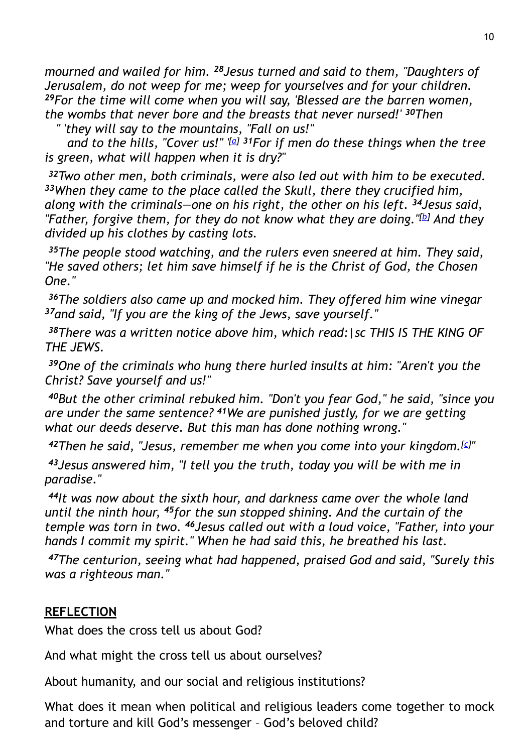*mourned and wailed for him. <sup>28</sup>Jesus turned and said to them, "Daughters of Jerusalem, do not weep for me; weep for yourselves and for your children. <sup>29</sup>For the time will come when you will say, 'Blessed are the barren women, the wombs that never bore and the breasts that never nursed!' <sup>30</sup>Then* 

 *" 'they will say to the mountains, "Fall on us!"* 

 *and to the hills, "Cover us!" '[\[a](http://www.biblegateway.com/passage/?search=Luke%252023:26%2520-%252047&version=NIV#fen-NIV-25956a)] <sup>31</sup>For if men do these things when the tree is green, what will happen when it is dry?"* 

*<sup>32</sup>Two other men, both criminals, were also led out with him to be executed. <sup>33</sup>When they came to the place called the Skull, there they crucified him, along with the criminals—one on his right, the other on his left. <sup>34</sup>Jesus said, "Father, forgive them, for they do not know what they are doing."[\[b](http://www.biblegateway.com/passage/?search=Luke%252023:26%2520-%252047&version=NIV#fen-NIV-25960b)] And they divided up his clothes by casting lots.* 

*<sup>35</sup>The people stood watching, and the rulers even sneered at him. They said, "He saved others; let him save himself if he is the Christ of God, the Chosen One."* 

*<sup>36</sup>The soldiers also came up and mocked him. They offered him wine vinegar <sup>37</sup>and said, "If you are the king of the Jews, save yourself."* 

*<sup>38</sup>There was a written notice above him, which read:|sc THIS IS THE KING OF THE JEWS.* 

*<sup>39</sup>One of the criminals who hung there hurled insults at him: "Aren't you the Christ? Save yourself and us!"* 

*<sup>40</sup>But the other criminal rebuked him. "Don't you fear God," he said, "since you are under the same sentence? <sup>41</sup>We are punished justly, for we are getting what our deeds deserve. But this man has done nothing wrong."* 

*<sup>42</sup>Then he said, "Jesus, remember me when you come into your kingdom.[\[c](http://www.biblegateway.com/passage/?search=Luke%252023:26%2520-%252047&version=NIV#fen-NIV-25968c)] "* 

*<sup>43</sup>Jesus answered him, "I tell you the truth, today you will be with me in paradise."* 

*<sup>44</sup>It was now about the sixth hour, and darkness came over the whole land until the ninth hour, <sup>45</sup>for the sun stopped shining. And the curtain of the temple was torn in two. <sup>46</sup>Jesus called out with a loud voice, "Father, into your hands I commit my spirit." When he had said this, he breathed his last.* 

*<sup>47</sup>The centurion, seeing what had happened, praised God and said, "Surely this was a righteous man."*

# **REFLECTION**

What does the cross tell us about God?

And what might the cross tell us about ourselves?

About humanity, and our social and religious institutions?

What does it mean when political and religious leaders come together to mock and torture and kill God's messenger – God's beloved child?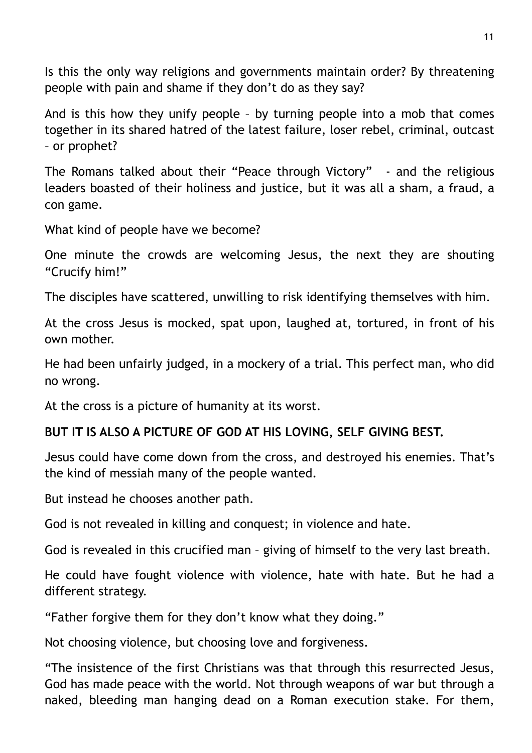Is this the only way religions and governments maintain order? By threatening people with pain and shame if they don't do as they say?

And is this how they unify people – by turning people into a mob that comes together in its shared hatred of the latest failure, loser rebel, criminal, outcast – or prophet?

The Romans talked about their "Peace through Victory" - and the religious leaders boasted of their holiness and justice, but it was all a sham, a fraud, a con game.

What kind of people have we become?

One minute the crowds are welcoming Jesus, the next they are shouting "Crucify him!"

The disciples have scattered, unwilling to risk identifying themselves with him.

At the cross Jesus is mocked, spat upon, laughed at, tortured, in front of his own mother.

He had been unfairly judged, in a mockery of a trial. This perfect man, who did no wrong.

At the cross is a picture of humanity at its worst.

# **BUT IT IS ALSO A PICTURE OF GOD AT HIS LOVING, SELF GIVING BEST.**

Jesus could have come down from the cross, and destroyed his enemies. That's the kind of messiah many of the people wanted.

But instead he chooses another path.

God is not revealed in killing and conquest; in violence and hate.

God is revealed in this crucified man – giving of himself to the very last breath.

He could have fought violence with violence, hate with hate. But he had a different strategy.

"Father forgive them for they don't know what they doing."

Not choosing violence, but choosing love and forgiveness.

"The insistence of the first Christians was that through this resurrected Jesus, God has made peace with the world. Not through weapons of war but through a naked, bleeding man hanging dead on a Roman execution stake. For them,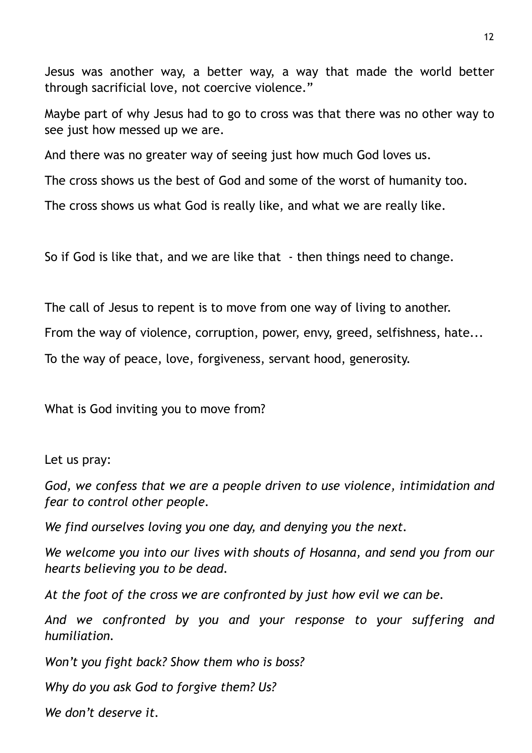Jesus was another way, a better way, a way that made the world better through sacrificial love, not coercive violence."

Maybe part of why Jesus had to go to cross was that there was no other way to see just how messed up we are.

And there was no greater way of seeing just how much God loves us.

The cross shows us the best of God and some of the worst of humanity too.

The cross shows us what God is really like, and what we are really like.

So if God is like that, and we are like that - then things need to change.

The call of Jesus to repent is to move from one way of living to another.

From the way of violence, corruption, power, envy, greed, selfishness, hate...

To the way of peace, love, forgiveness, servant hood, generosity.

What is God inviting you to move from?

Let us pray:

*God, we confess that we are a people driven to use violence, intimidation and fear to control other people.*

*We find ourselves loving you one day, and denying you the next.*

*We welcome you into our lives with shouts of Hosanna, and send you from our hearts believing you to be dead.*

*At the foot of the cross we are confronted by just how evil we can be.* 

*And we confronted by you and your response to your suffering and humiliation.*

*Won't you fight back? Show them who is boss?*

*Why do you ask God to forgive them? Us?* 

*We don't deserve it.*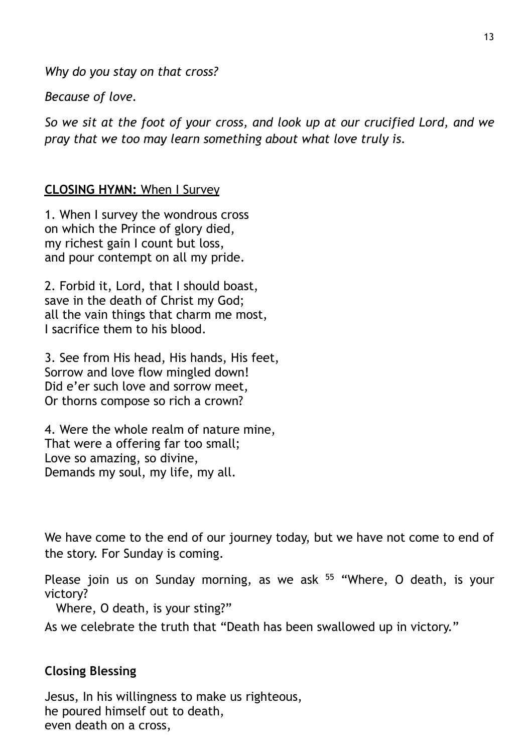*Why do you stay on that cross?*

*Because of love.* 

*So we sit at the foot of your cross, and look up at our crucified Lord, and we pray that we too may learn something about what love truly is.* 

### **CLOSING HYMN:** When I Survey

1. When I survey the wondrous cross on which the Prince of glory died, my richest gain I count but loss, and pour contempt on all my pride.

2. Forbid it, Lord, that I should boast, save in the death of Christ my God; all the vain things that charm me most, I sacrifice them to his blood.

3. See from His head, His hands, His feet, Sorrow and love flow mingled down! Did e'er such love and sorrow meet, Or thorns compose so rich a crown?

4. Were the whole realm of nature mine, That were a offering far too small; Love so amazing, so divine, Demands my soul, my life, my all.

We have come to the end of our journey today, but we have not come to end of the story. For Sunday is coming.

Please join us on Sunday morning, as we ask <sup>55</sup> "Where, O death, is your victory?

Where, O death, is your sting?"

As we celebrate the truth that "Death has been swallowed up in victory."

# **Closing Blessing**

Jesus, In his willingness to make us righteous, he poured himself out to death, even death on a cross,